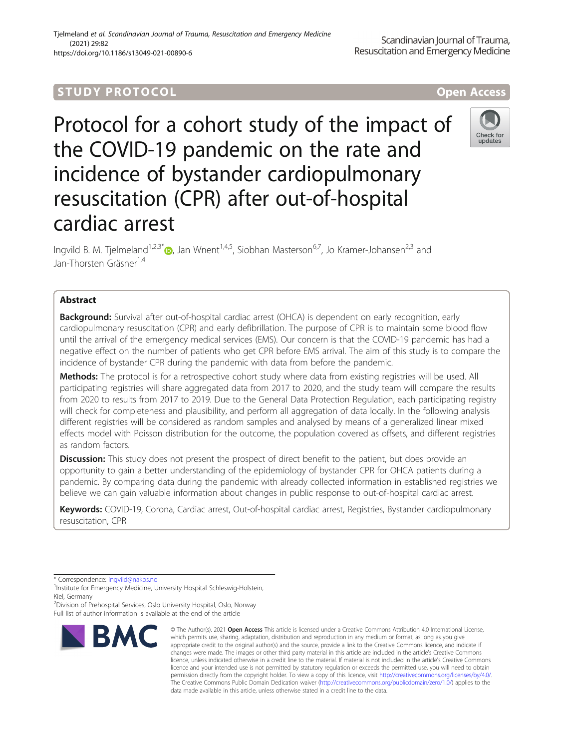### Tjelmeland et al. Scandinavian Journal of Trauma, Resuscitation and Emergency Medicine (2021) 29:82 https://doi.org/10.1186/s13049-021-00890-6

# **STUDY PROTOCOL CONSUMING THE RESERVE ACCESS**



Protocol for a cohort study of the impact of the COVID-19 pandemic on the rate and incidence of bystander cardiopulmonary resuscitation (CPR) after out-of-hospital cardiac arrest



Ingvild B. M. Tielmeland<sup>1,2,3\*</sup> $\bullet$ , Jan Wnent<sup>1,4,5</sup>, Siobhan Masterson<sup>6,7</sup>, Jo Kramer-Johansen<sup>2,3</sup> and Jan-Thorsten Gräsner<sup>1,4</sup>

# Abstract

**Background:** Survival after out-of-hospital cardiac arrest (OHCA) is dependent on early recognition, early cardiopulmonary resuscitation (CPR) and early defibrillation. The purpose of CPR is to maintain some blood flow until the arrival of the emergency medical services (EMS). Our concern is that the COVID-19 pandemic has had a negative effect on the number of patients who get CPR before EMS arrival. The aim of this study is to compare the incidence of bystander CPR during the pandemic with data from before the pandemic.

Methods: The protocol is for a retrospective cohort study where data from existing registries will be used. All participating registries will share aggregated data from 2017 to 2020, and the study team will compare the results from 2020 to results from 2017 to 2019. Due to the General Data Protection Regulation, each participating registry will check for completeness and plausibility, and perform all aggregation of data locally. In the following analysis different registries will be considered as random samples and analysed by means of a generalized linear mixed effects model with Poisson distribution for the outcome, the population covered as offsets, and different registries as random factors.

**Discussion:** This study does not present the prospect of direct benefit to the patient, but does provide an opportunity to gain a better understanding of the epidemiology of bystander CPR for OHCA patients during a pandemic. By comparing data during the pandemic with already collected information in established registries we believe we can gain valuable information about changes in public response to out-of-hospital cardiac arrest.

Keywords: COVID-19, Corona, Cardiac arrest, Out-of-hospital cardiac arrest, Registries, Bystander cardiopulmonary resuscitation, CPR

2 Division of Prehospital Services, Oslo University Hospital, Oslo, Norway Full list of author information is available at the end of the article



<sup>©</sup> The Author(s), 2021 **Open Access** This article is licensed under a Creative Commons Attribution 4.0 International License, which permits use, sharing, adaptation, distribution and reproduction in any medium or format, as long as you give appropriate credit to the original author(s) and the source, provide a link to the Creative Commons licence, and indicate if changes were made. The images or other third party material in this article are included in the article's Creative Commons licence, unless indicated otherwise in a credit line to the material. If material is not included in the article's Creative Commons licence and your intended use is not permitted by statutory regulation or exceeds the permitted use, you will need to obtain permission directly from the copyright holder. To view a copy of this licence, visit [http://creativecommons.org/licenses/by/4.0/.](http://creativecommons.org/licenses/by/4.0/) The Creative Commons Public Domain Dedication waiver [\(http://creativecommons.org/publicdomain/zero/1.0/](http://creativecommons.org/publicdomain/zero/1.0/)) applies to the data made available in this article, unless otherwise stated in a credit line to the data.

<sup>\*</sup> Correspondence: [ingvild@nakos.no](mailto:ingvild@nakos.no) <sup>1</sup>

<sup>&</sup>lt;sup>1</sup>Institute for Emergency Medicine, University Hospital Schleswig-Holstein, Kiel, Germany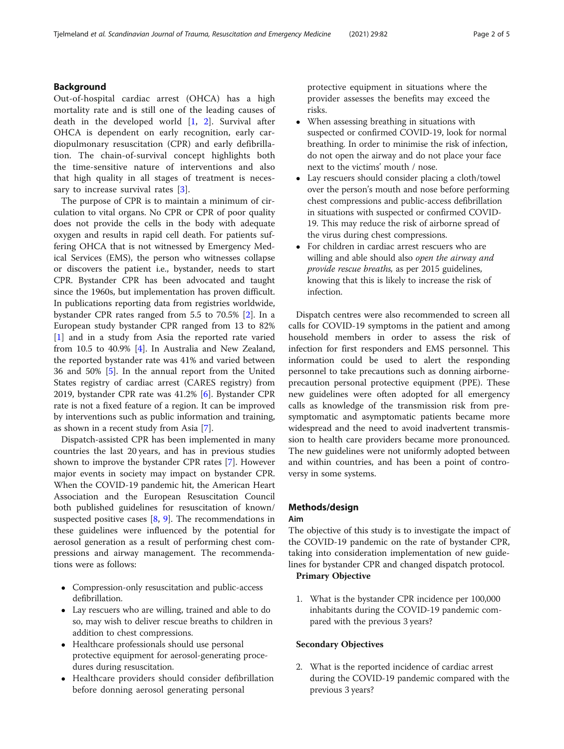# Background

Out-of-hospital cardiac arrest (OHCA) has a high mortality rate and is still one of the leading causes of death in the developed world  $[1, 2]$  $[1, 2]$  $[1, 2]$  $[1, 2]$  $[1, 2]$ . Survival after OHCA is dependent on early recognition, early cardiopulmonary resuscitation (CPR) and early defibrillation. The chain-of-survival concept highlights both the time-sensitive nature of interventions and also that high quality in all stages of treatment is neces-sary to increase survival rates [\[3](#page-3-0)].

The purpose of CPR is to maintain a minimum of circulation to vital organs. No CPR or CPR of poor quality does not provide the cells in the body with adequate oxygen and results in rapid cell death. For patients suffering OHCA that is not witnessed by Emergency Medical Services (EMS), the person who witnesses collapse or discovers the patient i.e., bystander, needs to start CPR. Bystander CPR has been advocated and taught since the 1960s, but implementation has proven difficult. In publications reporting data from registries worldwide, bystander CPR rates ranged from 5.5 to 70.5% [[2](#page-3-0)]. In a European study bystander CPR ranged from 13 to 82% [[1\]](#page-3-0) and in a study from Asia the reported rate varied from 10.5 to 40.9% [\[4](#page-3-0)]. In Australia and New Zealand, the reported bystander rate was 41% and varied between 36 and 50% [[5](#page-3-0)]. In the annual report from the United States registry of cardiac arrest (CARES registry) from 2019, bystander CPR rate was 41.2% [[6\]](#page-4-0). Bystander CPR rate is not a fixed feature of a region. It can be improved by interventions such as public information and training, as shown in a recent study from Asia [\[7](#page-4-0)].

Dispatch-assisted CPR has been implemented in many countries the last 20 years, and has in previous studies shown to improve the bystander CPR rates [[7\]](#page-4-0). However major events in society may impact on bystander CPR. When the COVID-19 pandemic hit, the American Heart Association and the European Resuscitation Council both published guidelines for resuscitation of known/ suspected positive cases  $[8, 9]$  $[8, 9]$  $[8, 9]$  $[8, 9]$  $[8, 9]$ . The recommendations in these guidelines were influenced by the potential for aerosol generation as a result of performing chest compressions and airway management. The recommendations were as follows:

- Compression-only resuscitation and public-access defibrillation.
- Lay rescuers who are willing, trained and able to do so, may wish to deliver rescue breaths to children in addition to chest compressions.
- Healthcare professionals should use personal protective equipment for aerosol-generating procedures during resuscitation.
- Healthcare providers should consider defibrillation before donning aerosol generating personal

protective equipment in situations where the provider assesses the benefits may exceed the risks.

- When assessing breathing in situations with suspected or confirmed COVID-19, look for normal breathing. In order to minimise the risk of infection, do not open the airway and do not place your face next to the victims' mouth / nose.
- Lay rescuers should consider placing a cloth/towel over the person's mouth and nose before performing chest compressions and public-access defibrillation in situations with suspected or confirmed COVID-19. This may reduce the risk of airborne spread of the virus during chest compressions.
- For children in cardiac arrest rescuers who are willing and able should also open the airway and provide rescue breaths, as per 2015 guidelines, knowing that this is likely to increase the risk of infection.

Dispatch centres were also recommended to screen all calls for COVID-19 symptoms in the patient and among household members in order to assess the risk of infection for first responders and EMS personnel. This information could be used to alert the responding personnel to take precautions such as donning airborneprecaution personal protective equipment (PPE). These new guidelines were often adopted for all emergency calls as knowledge of the transmission risk from presymptomatic and asymptomatic patients became more widespread and the need to avoid inadvertent transmission to health care providers became more pronounced. The new guidelines were not uniformly adopted between and within countries, and has been a point of controversy in some systems.

# Methods/design

## Aim

The objective of this study is to investigate the impact of the COVID-19 pandemic on the rate of bystander CPR, taking into consideration implementation of new guidelines for bystander CPR and changed dispatch protocol. Primary Objective

1. What is the bystander CPR incidence per 100,000 inhabitants during the COVID-19 pandemic compared with the previous 3 years?

# Secondary Objectives

2. What is the reported incidence of cardiac arrest during the COVID-19 pandemic compared with the previous 3 years?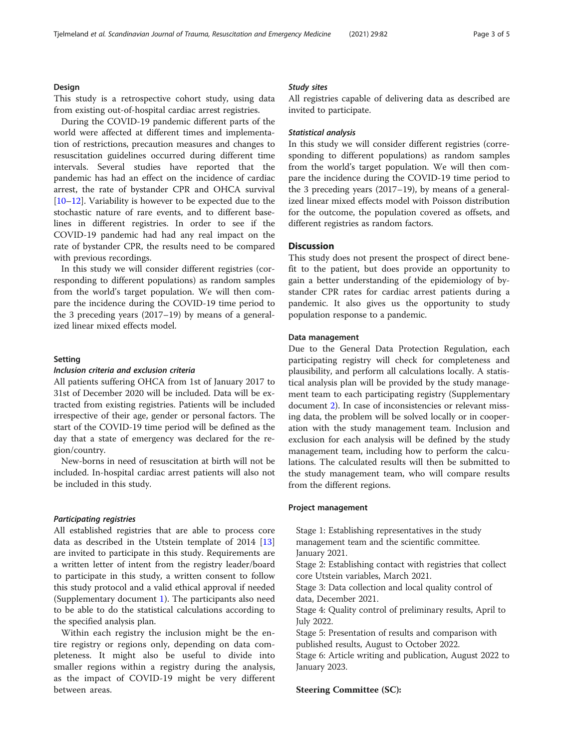## Design

This study is a retrospective cohort study, using data from existing out-of-hospital cardiac arrest registries.

During the COVID-19 pandemic different parts of the world were affected at different times and implementation of restrictions, precaution measures and changes to resuscitation guidelines occurred during different time intervals. Several studies have reported that the pandemic has had an effect on the incidence of cardiac arrest, the rate of bystander CPR and OHCA survival [[10](#page-4-0)–[12](#page-4-0)]. Variability is however to be expected due to the stochastic nature of rare events, and to different baselines in different registries. In order to see if the COVID-19 pandemic had had any real impact on the rate of bystander CPR, the results need to be compared with previous recordings.

In this study we will consider different registries (corresponding to different populations) as random samples from the world's target population. We will then compare the incidence during the COVID-19 time period to the 3 preceding years (2017–19) by means of a generalized linear mixed effects model.

#### Setting

## Inclusion criteria and exclusion criteria

All patients suffering OHCA from 1st of January 2017 to 31st of December 2020 will be included. Data will be extracted from existing registries. Patients will be included irrespective of their age, gender or personal factors. The start of the COVID-19 time period will be defined as the day that a state of emergency was declared for the region/country.

New-borns in need of resuscitation at birth will not be included. In-hospital cardiac arrest patients will also not be included in this study.

### Participating registries

All established registries that are able to process core data as described in the Utstein template of 2014 [[13](#page-4-0)] are invited to participate in this study. Requirements are a written letter of intent from the registry leader/board to participate in this study, a written consent to follow this study protocol and a valid ethical approval if needed (Supplementary document [1](#page-3-0)). The participants also need to be able to do the statistical calculations according to the specified analysis plan.

Within each registry the inclusion might be the entire registry or regions only, depending on data completeness. It might also be useful to divide into smaller regions within a registry during the analysis, as the impact of COVID-19 might be very different between areas.

## Study sites

All registries capable of delivering data as described are invited to participate.

## Statistical analysis

In this study we will consider different registries (corresponding to different populations) as random samples from the world's target population. We will then compare the incidence during the COVID-19 time period to the 3 preceding years (2017–19), by means of a generalized linear mixed effects model with Poisson distribution for the outcome, the population covered as offsets, and different registries as random factors.

## Discussion

This study does not present the prospect of direct benefit to the patient, but does provide an opportunity to gain a better understanding of the epidemiology of bystander CPR rates for cardiac arrest patients during a pandemic. It also gives us the opportunity to study population response to a pandemic.

### Data management

Due to the General Data Protection Regulation, each participating registry will check for completeness and plausibility, and perform all calculations locally. A statistical analysis plan will be provided by the study management team to each participating registry (Supplementary document [2\)](#page-3-0). In case of inconsistencies or relevant missing data, the problem will be solved locally or in cooperation with the study management team. Inclusion and exclusion for each analysis will be defined by the study management team, including how to perform the calculations. The calculated results will then be submitted to the study management team, who will compare results from the different regions.

## Project management

Stage 1: Establishing representatives in the study management team and the scientific committee. January 2021.

Stage 2: Establishing contact with registries that collect core Utstein variables, March 2021.

Stage 3: Data collection and local quality control of data, December 2021.

Stage 4: Quality control of preliminary results, April to July 2022.

Stage 5: Presentation of results and comparison with published results, August to October 2022.

Stage 6: Article writing and publication, August 2022 to January 2023.

## Steering Committee (SC):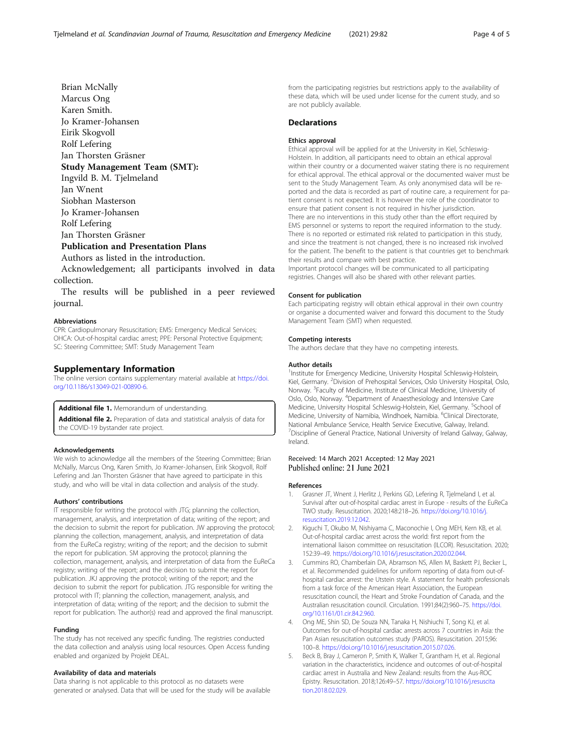<span id="page-3-0"></span>Brian McNally Marcus Ong Karen Smith. Jo Kramer-Johansen Eirik Skogvoll Rolf Lefering Jan Thorsten Gräsner Study Management Team (SMT): Ingvild B. M. Tjelmeland Jan Wnent Siobhan Masterson Jo Kramer-Johansen Rolf Lefering Jan Thorsten Gräsner Publication and Presentation Plans Authors as listed in the introduction.

Acknowledgement; all participants involved in data

collection.

The results will be published in a peer reviewed journal.

#### Abbreviations

CPR: Cardiopulmonary Resuscitation; EMS: Emergency Medical Services; OHCA: Out-of-hospital cardiac arrest; PPE: Personal Protective Equipment; SC: Steering Committee; SMT: Study Management Team

## Supplementary Information

The online version contains supplementary material available at [https://doi.](https://doi.org/10.1186/s13049-021-00890-6) [org/10.1186/s13049-021-00890-6.](https://doi.org/10.1186/s13049-021-00890-6)

#### Additional file 1. Memorandum of understanding.

Additional file 2. Preparation of data and statistical analysis of data for the COVID-19 bystander rate project.

#### Acknowledgements

We wish to acknowledge all the members of the Steering Committee; Brian McNally, Marcus Ong, Karen Smith, Jo Kramer-Johansen, Eirik Skogvoll, Rolf Lefering and Jan Thorsten Gräsner that have agreed to participate in this study, and who will be vital in data collection and analysis of the study.

## Authors' contributions

IT responsible for writing the protocol with JTG; planning the collection, management, analysis, and interpretation of data; writing of the report; and the decision to submit the report for publication. JW approving the protocol; planning the collection, management, analysis, and interpretation of data from the EuReCa registry; writing of the report; and the decision to submit the report for publication. SM approving the protocol; planning the collection, management, analysis, and interpretation of data from the EuReCa registry; writing of the report; and the decision to submit the report for publication. JKJ approving the protocol; writing of the report; and the decision to submit the report for publication. JTG responsible for writing the protocol with IT; planning the collection, management, analysis, and interpretation of data; writing of the report; and the decision to submit the report for publication. The author(s) read and approved the final manuscript.

#### Funding

The study has not received any specific funding. The registries conducted the data collection and analysis using local resources. Open Access funding enabled and organized by Projekt DEAL.

#### Availability of data and materials

Data sharing is not applicable to this protocol as no datasets were generated or analysed. Data that will be used for the study will be available from the participating registries but restrictions apply to the availability of these data, which will be used under license for the current study, and so are not publicly available.

#### **Declarations**

#### Ethics approval

Ethical approval will be applied for at the University in Kiel, Schleswig-Holstein. In addition, all participants need to obtain an ethical approval within their country or a documented waiver stating there is no requirement for ethical approval. The ethical approval or the documented waiver must be sent to the Study Management Team. As only anonymised data will be reported and the data is recorded as part of routine care, a requirement for patient consent is not expected. It is however the role of the coordinator to ensure that patient consent is not required in his/her jurisdiction. There are no interventions in this study other than the effort required by EMS personnel or systems to report the required information to the study. There is no reported or estimated risk related to participation in this study, and since the treatment is not changed, there is no increased risk involved for the patient. The benefit to the patient is that countries get to benchmark their results and compare with best practice. Important protocol changes will be communicated to all participating

registries. Changes will also be shared with other relevant parties.

#### Consent for publication

Each participating registry will obtain ethical approval in their own country or organise a documented waiver and forward this document to the Study Management Team (SMT) when requested.

## Competing interests

The authors declare that they have no competing interests.

#### Author details

<sup>1</sup>Institute for Emergency Medicine, University Hospital Schleswig-Holstein, Kiel, Germany. <sup>2</sup> Division of Prehospital Services, Oslo University Hospital, Oslo, Norway. <sup>3</sup> Faculty of Medicine, Institute of Clinical Medicine, University of Oslo, Oslo, Norway. <sup>4</sup>Department of Anaesthesiology and Intensive Care Medicine, University Hospital Schleswig-Holstein, Kiel, Germany. <sup>5</sup>School of Medicine, University of Namibia, Windhoek, Namibia. <sup>6</sup>Clinical Directorate, National Ambulance Service, Health Service Executive, Galway, Ireland. <sup>7</sup> Discipline of General Practice, National University of Ireland Galway, Galway, Ireland.

## Received: 14 March 2021 Accepted: 12 May 2021 Published online: 21 June 2021

#### References

- Grasner JT, Wnent J, Herlitz J, Perkins GD, Lefering R, Tjelmeland I, et al. Survival after out-of-hospital cardiac arrest in Europe - results of the EuReCa TWO study. Resuscitation. 2020;148:218–26. [https://doi.org/10.1016/j.](https://doi.org/10.1016/j.resuscitation.2019.12.042) [resuscitation.2019.12.042.](https://doi.org/10.1016/j.resuscitation.2019.12.042)
- 2. Kiguchi T, Okubo M, Nishiyama C, Maconochie I, Ong MEH, Kern KB, et al. Out-of-hospital cardiac arrest across the world: first report from the international liaison committee on resuscitation (ILCOR). Resuscitation, 2020; 152:39–49. <https://doi.org/10.1016/j.resuscitation.2020.02.044>.
- 3. Cummins RO, Chamberlain DA, Abramson NS, Allen M, Baskett PJ, Becker L, et al. Recommended guidelines for uniform reporting of data from out-ofhospital cardiac arrest: the Utstein style. A statement for health professionals from a task force of the American Heart Association, the European resuscitation council, the Heart and Stroke Foundation of Canada, and the Australian resuscitation council. Circulation. 1991;84(2):960–75. [https://doi.](https://doi.org/10.1161/01.cir.84.2.960) [org/10.1161/01.cir.84.2.960.](https://doi.org/10.1161/01.cir.84.2.960)
- 4. Ong ME, Shin SD, De Souza NN, Tanaka H, Nishiuchi T, Song KJ, et al. Outcomes for out-of-hospital cardiac arrests across 7 countries in Asia: the Pan Asian resuscitation outcomes study (PAROS). Resuscitation. 2015;96: 100–8. [https://doi.org/10.1016/j.resuscitation.2015.07.026.](https://doi.org/10.1016/j.resuscitation.2015.07.026)
- 5. Beck B, Bray J, Cameron P, Smith K, Walker T, Grantham H, et al. Regional variation in the characteristics, incidence and outcomes of out-of-hospital cardiac arrest in Australia and New Zealand: results from the Aus-ROC Epistry. Resuscitation. 2018;126:49–57. [https://doi.org/10.1016/j.resuscita](https://doi.org/10.1016/j.resuscitation.2018.02.029) [tion.2018.02.029](https://doi.org/10.1016/j.resuscitation.2018.02.029).